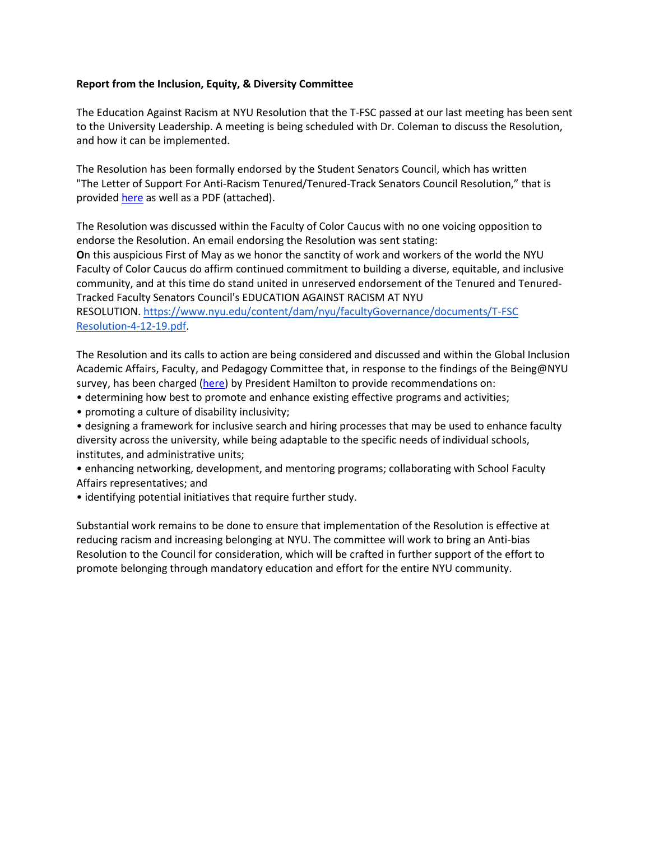## **Report from the Inclusion, Equity, & Diversity Committee**

The Education Against Racism at NYU Resolution that the T-FSC passed at our last meeting has been sent to the University Leadership. A meeting is being scheduled with Dr. Coleman to discuss the Resolution, and how it can be implemented.

The Resolution has been formally endorsed by the Student Senators Council, which has written "The Letter of Support For Anti-Racism Tenured/Tenured-Track Senators Council Resolution," that is provided [here](https://urldefense.proofpoint.com/v2/url?u=https-3A__docs.google.com_document_d_1lxgStvqPMH2aWKTstj93q-5FGt-2Dvhpa7vEJP9fi5t3K68_edit&d=DwMFaQ&c=slrrB7dE8n7gBJbeO0g-IQ&r=KEh7V1GgOMLwd6cWp4K0sDA4UlIQvlY3FU97ujsxOW8&m=_RBE2pDXBZui7hHvy4TGa0E4En9AWIAiEH6nGyoE-B8&s=x9ng7i2FLJ-0qPImB5IoThCkk5rKECDwh2EzoSKhOG4&e=) as well as a PDF (attached).

The Resolution was discussed within the Faculty of Color Caucus with no one voicing opposition to endorse the Resolution. An email endorsing the Resolution was sent stating:

**O**n this auspicious First of May as we honor the sanctity of work and workers of the world the NYU Faculty of Color Caucus do affirm continued commitment to building a diverse, equitable, and inclusive community, and at this time do stand united in unreserved endorsement of the Tenured and Tenured-Tracked Faculty Senators Council's EDUCATION AGAINST RACISM AT NYU

RESOLUTION. [https://www.nyu.edu/content/dam/nyu/facultyGovernance/documents/T-FSC](https://www.nyu.edu/content/dam/nyu/facultyGovernance/documents/T-FSC%20Resolution-4-12-19.pdf)  [Resolution-4-12-19.pdf.](https://www.nyu.edu/content/dam/nyu/facultyGovernance/documents/T-FSC%20Resolution-4-12-19.pdf)

The Resolution and its calls to action are being considered and discussed and within the Global Inclusion Academic Affairs, Faculty, and Pedagogy Committee that, in response to the findings of the Being@NYU survey, has been charged [\(here\)](https://www.nyu.edu/about/leadership-university-administration/office-of-the-president/communications/being-nyu-assessment-results-and-next-steps.html) by President Hamilton to provide recommendations on:

- determining how best to promote and enhance existing effective programs and activities;
- promoting a culture of disability inclusivity;

• designing a framework for inclusive search and hiring processes that may be used to enhance faculty diversity across the university, while being adaptable to the specific needs of individual schools, institutes, and administrative units;

• enhancing networking, development, and mentoring programs; collaborating with School Faculty Affairs representatives; and

• identifying potential initiatives that require further study.

Substantial work remains to be done to ensure that implementation of the Resolution is effective at reducing racism and increasing belonging at NYU. The committee will work to bring an Anti-bias Resolution to the Council for consideration, which will be crafted in further support of the effort to promote belonging through mandatory education and effort for the entire NYU community.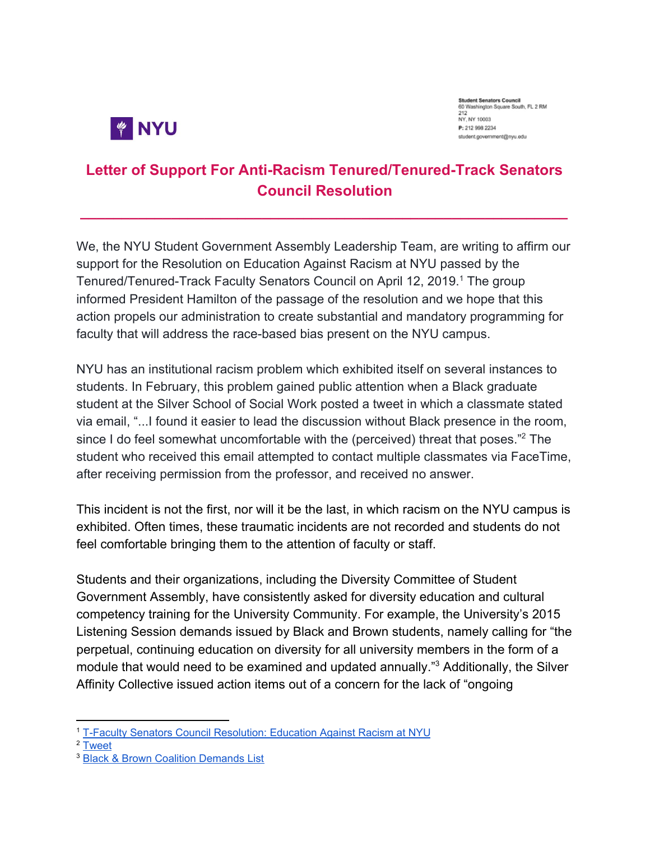

**Student Senators Council** 60 Washington Square South, FL 2 RM 212 NY, NY 10003 P: 212 998 2234 student.government@nvu.edu

## **Letter of Support For Anti-Racism Tenured/Tenured-Track Senators Council Resolution**

**\_\_\_\_\_\_\_\_\_\_\_\_\_\_\_\_\_\_\_\_\_\_\_\_\_\_\_\_\_\_\_\_\_\_\_\_\_\_\_\_\_\_\_\_\_\_\_\_\_\_\_\_\_\_\_\_\_\_\_**

We, the NYU Student Government Assembly Leadership Team, are writing to affirm our support for the Resolution on Education Against Racism at NYU passed by the Tenured/Tenured-Track Faculty Senators Council on April 12, 2019.<sup>1</sup> The group informed President Hamilton of the passage of the resolution and we hope that this action propels our administration to create substantial and mandatory programming for faculty that will address the race-based bias present on the NYU campus.

NYU has an institutional racism problem which exhibited itself on several instances to students. In February, this problem gained public attention when a Black graduate student at the Silver School of Social Work posted a tweet in which a classmate stated via email, "...I found it easier to lead the discussion without Black presence in the room, since I do feel somewhat uncomfortable with the (perceived) threat that poses."<sup>2</sup> The student who received this email attempted to contact multiple classmates via FaceTime, after receiving permission from the professor, and received no answer.

This incident is not the first, nor will it be the last, in which racism on the NYU campus is exhibited. Often times, these traumatic incidents are not recorded and students do not feel comfortable bringing them to the attention of faculty or staff.

Students and their organizations, including the Diversity Committee of Student Government Assembly, have consistently asked for diversity education and cultural competency training for the University Community. For example, the University's 2015 Listening Session demands issued by Black and Brown students, namely calling for "the perpetual, continuing education on diversity for all university members in the form of a module that would need to be examined and updated annually."<sup>3</sup> Additionally, the Silver Affinity Collective issued action items out of a concern for the lack of "ongoing

<sup>1</sup> T-Faculty Senators Council [Resolution:](https://www.nyu.edu/content/dam/nyu/facultyGovernance/documents/T-FSC%20Resolution-4-12-19.pdf) Education Against Racism at NYU

<sup>&</sup>lt;sup>2</sup> [Tweet](https://twitter.com/pettierblackboy/status/1095378686856052742)

<sup>3</sup> Black & Brown Coalition [Demands](https://docs.google.com/document/d/1lp4uqt_Jxqm70vyWfnqXiDOPd0Wjoq4x77Y0Gf_W_Gw/edit?fbclid=IwAR3J7hU-OP7qkVfjs7V63iO-CKHkZ3e6L8xOGVX-jrG-QXvppgx5wVJRS9w) List